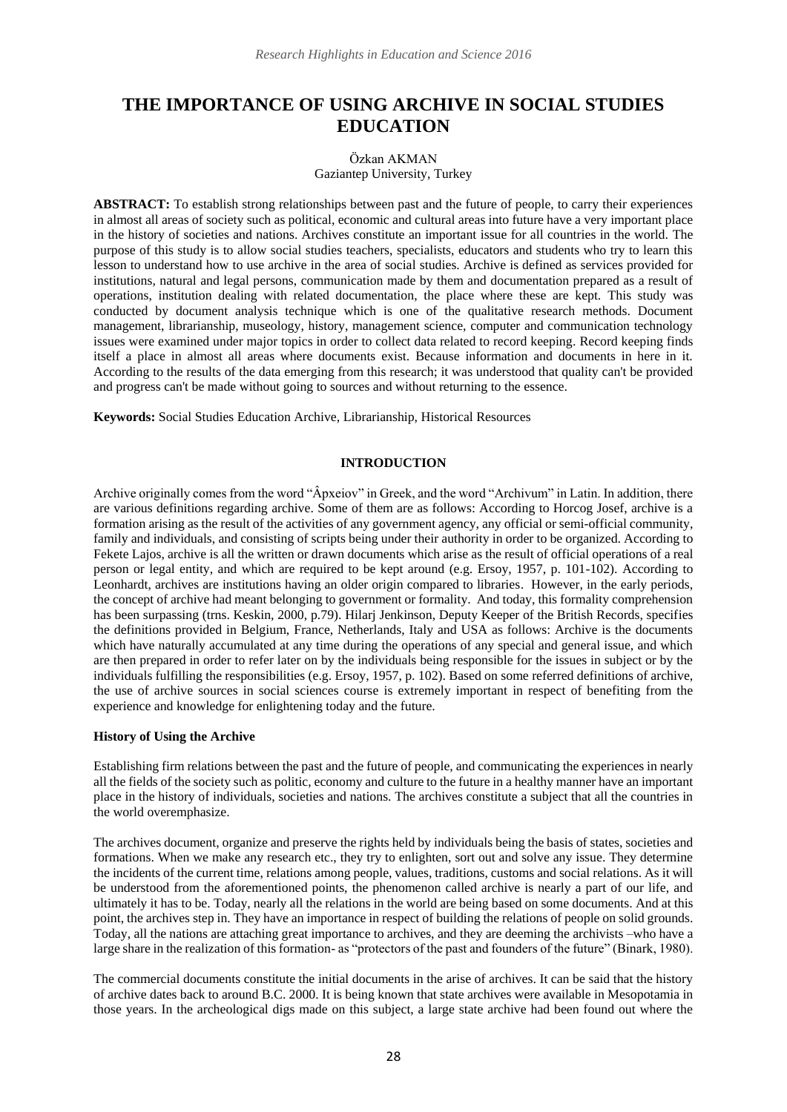# **THE IMPORTANCE OF USING ARCHIVE IN SOCIAL STUDIES EDUCATION**

#### Özkan AKMAN Gaziantep University, Turkey

**ABSTRACT:** To establish strong relationships between past and the future of people, to carry their experiences in almost all areas of society such as political, economic and cultural areas into future have a very important place in the history of societies and nations. Archives constitute an important issue for all countries in the world. The purpose of this study is to allow social studies teachers, specialists, educators and students who try to learn this lesson to understand how to use archive in the area of social studies. Archive is defined as services provided for institutions, natural and legal persons, communication made by them and documentation prepared as a result of operations, institution dealing with related documentation, the place where these are kept. This study was conducted by document analysis technique which is one of the qualitative research methods. Document management, librarianship, museology, history, management science, computer and communication technology issues were examined under major topics in order to collect data related to record keeping. Record keeping finds itself a place in almost all areas where documents exist. Because information and documents in here in it. According to the results of the data emerging from this research; it was understood that quality can't be provided and progress can't be made without going to sources and without returning to the essence.

**Keywords:** Social Studies Education Archive, Librarianship, Historical Resources

## **INTRODUCTION**

Archive originally comes from the word "Âpxeiov" in Greek, and the word "Archivum" in Latin. In addition, there are various definitions regarding archive. Some of them are as follows: According to Horcog Josef, archive is a formation arising as the result of the activities of any government agency, any official or semi-official community, family and individuals, and consisting of scripts being under their authority in order to be organized. According to Fekete Lajos, archive is all the written or drawn documents which arise as the result of official operations of a real person or legal entity, and which are required to be kept around (e.g. Ersoy, 1957, p. 101-102). According to Leonhardt, archives are institutions having an older origin compared to libraries. However, in the early periods, the concept of archive had meant belonging to government or formality. And today, this formality comprehension has been surpassing (trns. Keskin, 2000, p.79). Hilarj Jenkinson, Deputy Keeper of the British Records, specifies the definitions provided in Belgium, France, Netherlands, Italy and USA as follows: Archive is the documents which have naturally accumulated at any time during the operations of any special and general issue, and which are then prepared in order to refer later on by the individuals being responsible for the issues in subject or by the individuals fulfilling the responsibilities (e.g. Ersoy, 1957, p. 102). Based on some referred definitions of archive, the use of archive sources in social sciences course is extremely important in respect of benefiting from the experience and knowledge for enlightening today and the future.

## **History of Using the Archive**

Establishing firm relations between the past and the future of people, and communicating the experiences in nearly all the fields of the society such as politic, economy and culture to the future in a healthy manner have an important place in the history of individuals, societies and nations. The archives constitute a subject that all the countries in the world overemphasize.

The archives document, organize and preserve the rights held by individuals being the basis of states, societies and formations. When we make any research etc., they try to enlighten, sort out and solve any issue. They determine the incidents of the current time, relations among people, values, traditions, customs and social relations. As it will be understood from the aforementioned points, the phenomenon called archive is nearly a part of our life, and ultimately it has to be. Today, nearly all the relations in the world are being based on some documents. And at this point, the archives step in. They have an importance in respect of building the relations of people on solid grounds. Today, all the nations are attaching great importance to archives, and they are deeming the archivists –who have a large share in the realization of this formation- as "protectors of the past and founders of the future" (Binark, 1980).

The commercial documents constitute the initial documents in the arise of archives. It can be said that the history of archive dates back to around B.C. 2000. It is being known that state archives were available in Mesopotamia in those years. In the archeological digs made on this subject, a large state archive had been found out where the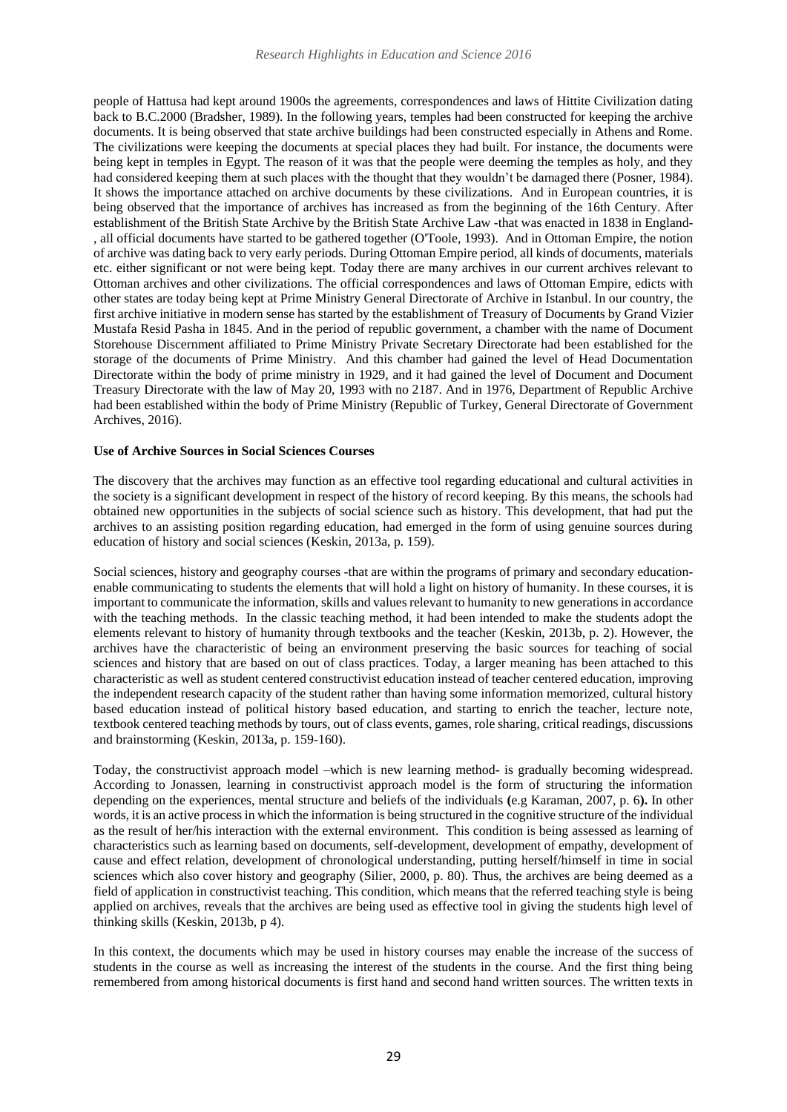people of Hattusa had kept around 1900s the agreements, correspondences and laws of Hittite Civilization dating back to B.C.2000 (Bradsher, 1989). In the following years, temples had been constructed for keeping the archive documents. It is being observed that state archive buildings had been constructed especially in Athens and Rome. The civilizations were keeping the documents at special places they had built. For instance, the documents were being kept in temples in Egypt. The reason of it was that the people were deeming the temples as holy, and they had considered keeping them at such places with the thought that they wouldn't be damaged there (Posner, 1984). It shows the importance attached on archive documents by these civilizations. And in European countries, it is being observed that the importance of archives has increased as from the beginning of the 16th Century. After establishment of the British State Archive by the British State Archive Law -that was enacted in 1838 in England- , all official documents have started to be gathered together (O'Toole, 1993). And in Ottoman Empire, the notion of archive was dating back to very early periods. During Ottoman Empire period, all kinds of documents, materials etc. either significant or not were being kept. Today there are many archives in our current archives relevant to Ottoman archives and other civilizations. The official correspondences and laws of Ottoman Empire, edicts with other states are today being kept at Prime Ministry General Directorate of Archive in Istanbul. In our country, the first archive initiative in modern sense has started by the establishment of Treasury of Documents by Grand Vizier Mustafa Resid Pasha in 1845. And in the period of republic government, a chamber with the name of Document Storehouse Discernment affiliated to Prime Ministry Private Secretary Directorate had been established for the storage of the documents of Prime Ministry. And this chamber had gained the level of Head Documentation Directorate within the body of prime ministry in 1929, and it had gained the level of Document and Document Treasury Directorate with the law of May 20, 1993 with no 2187. And in 1976, Department of Republic Archive had been established within the body of Prime Ministry (Republic of Turkey, General Directorate of Government Archives, 2016).

### **Use of Archive Sources in Social Sciences Courses**

The discovery that the archives may function as an effective tool regarding educational and cultural activities in the society is a significant development in respect of the history of record keeping. By this means, the schools had obtained new opportunities in the subjects of social science such as history. This development, that had put the archives to an assisting position regarding education, had emerged in the form of using genuine sources during education of history and social sciences (Keskin, 2013a, p. 159).

Social sciences, history and geography courses -that are within the programs of primary and secondary educationenable communicating to students the elements that will hold a light on history of humanity. In these courses, it is important to communicate the information, skills and values relevant to humanity to new generations in accordance with the teaching methods. In the classic teaching method, it had been intended to make the students adopt the elements relevant to history of humanity through textbooks and the teacher (Keskin, 2013b, p. 2). However, the archives have the characteristic of being an environment preserving the basic sources for teaching of social sciences and history that are based on out of class practices. Today, a larger meaning has been attached to this characteristic as well as student centered constructivist education instead of teacher centered education, improving the independent research capacity of the student rather than having some information memorized, cultural history based education instead of political history based education, and starting to enrich the teacher, lecture note, textbook centered teaching methods by tours, out of class events, games, role sharing, critical readings, discussions and brainstorming (Keskin, 2013a, p. 159-160).

Today, the constructivist approach model –which is new learning method- is gradually becoming widespread. According to Jonassen, learning in constructivist approach model is the form of structuring the information depending on the experiences, mental structure and beliefs of the individuals **(**e.g Karaman, 2007, p. 6**).** In other words, it is an active process in which the information is being structured in the cognitive structure of the individual as the result of her/his interaction with the external environment. This condition is being assessed as learning of characteristics such as learning based on documents, self-development, development of empathy, development of cause and effect relation, development of chronological understanding, putting herself/himself in time in social sciences which also cover history and geography (Silier, 2000, p. 80). Thus, the archives are being deemed as a field of application in constructivist teaching. This condition, which means that the referred teaching style is being applied on archives, reveals that the archives are being used as effective tool in giving the students high level of thinking skills (Keskin, 2013b, p 4).

In this context, the documents which may be used in history courses may enable the increase of the success of students in the course as well as increasing the interest of the students in the course. And the first thing being remembered from among historical documents is first hand and second hand written sources. The written texts in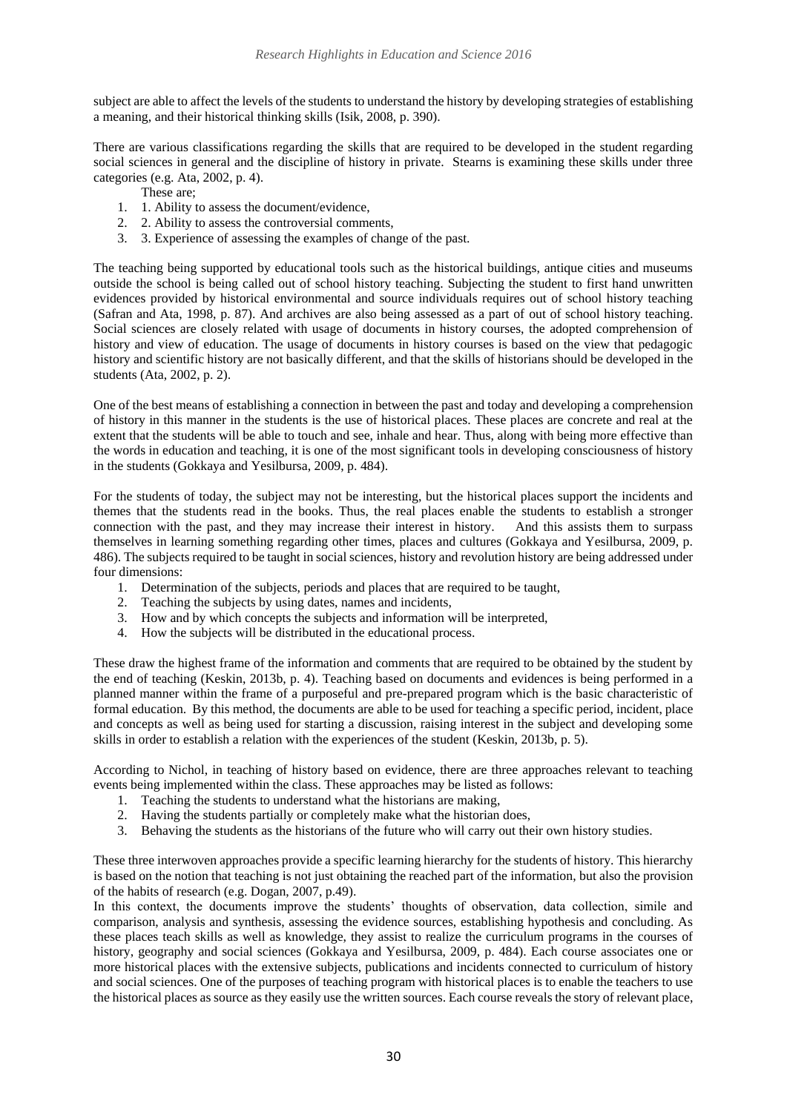subject are able to affect the levels of the students to understand the history by developing strategies of establishing a meaning, and their historical thinking skills (Isik, 2008, p. 390).

There are various classifications regarding the skills that are required to be developed in the student regarding social sciences in general and the discipline of history in private. Stearns is examining these skills under three categories (e.g. Ata, 2002, p. 4).

- These are;
- 1. 1. Ability to assess the document/evidence,
- 2. 2. Ability to assess the controversial comments,
- 3. 3. Experience of assessing the examples of change of the past.

The teaching being supported by educational tools such as the historical buildings, antique cities and museums outside the school is being called out of school history teaching. Subjecting the student to first hand unwritten evidences provided by historical environmental and source individuals requires out of school history teaching (Safran and Ata, 1998, p. 87). And archives are also being assessed as a part of out of school history teaching. Social sciences are closely related with usage of documents in history courses, the adopted comprehension of history and view of education. The usage of documents in history courses is based on the view that pedagogic history and scientific history are not basically different, and that the skills of historians should be developed in the students (Ata, 2002, p. 2).

One of the best means of establishing a connection in between the past and today and developing a comprehension of history in this manner in the students is the use of historical places. These places are concrete and real at the extent that the students will be able to touch and see, inhale and hear. Thus, along with being more effective than the words in education and teaching, it is one of the most significant tools in developing consciousness of history in the students (Gokkaya and Yesilbursa, 2009, p. 484).

For the students of today, the subject may not be interesting, but the historical places support the incidents and themes that the students read in the books. Thus, the real places enable the students to establish a stronger connection with the past, and they may increase their interest in history. And this assists them to surpass themselves in learning something regarding other times, places and cultures (Gokkaya and Yesilbursa, 2009, p. 486). The subjects required to be taught in social sciences, history and revolution history are being addressed under four dimensions:

- 1. Determination of the subjects, periods and places that are required to be taught,
- 2. Teaching the subjects by using dates, names and incidents,
- 3. How and by which concepts the subjects and information will be interpreted,
- 4. How the subjects will be distributed in the educational process.

These draw the highest frame of the information and comments that are required to be obtained by the student by the end of teaching (Keskin, 2013b, p. 4). Teaching based on documents and evidences is being performed in a planned manner within the frame of a purposeful and pre-prepared program which is the basic characteristic of formal education. By this method, the documents are able to be used for teaching a specific period, incident, place and concepts as well as being used for starting a discussion, raising interest in the subject and developing some skills in order to establish a relation with the experiences of the student (Keskin, 2013b, p. 5).

According to Nichol, in teaching of history based on evidence, there are three approaches relevant to teaching events being implemented within the class. These approaches may be listed as follows:

- 1. Teaching the students to understand what the historians are making,
- 2. Having the students partially or completely make what the historian does,
- 3. Behaving the students as the historians of the future who will carry out their own history studies.

These three interwoven approaches provide a specific learning hierarchy for the students of history. This hierarchy is based on the notion that teaching is not just obtaining the reached part of the information, but also the provision of the habits of research (e.g. Dogan, 2007, p.49).

In this context, the documents improve the students' thoughts of observation, data collection, simile and comparison, analysis and synthesis, assessing the evidence sources, establishing hypothesis and concluding. As these places teach skills as well as knowledge, they assist to realize the curriculum programs in the courses of history, geography and social sciences (Gokkaya and Yesilbursa, 2009, p. 484). Each course associates one or more historical places with the extensive subjects, publications and incidents connected to curriculum of history and social sciences. One of the purposes of teaching program with historical places is to enable the teachers to use the historical places as source as they easily use the written sources. Each course reveals the story of relevant place,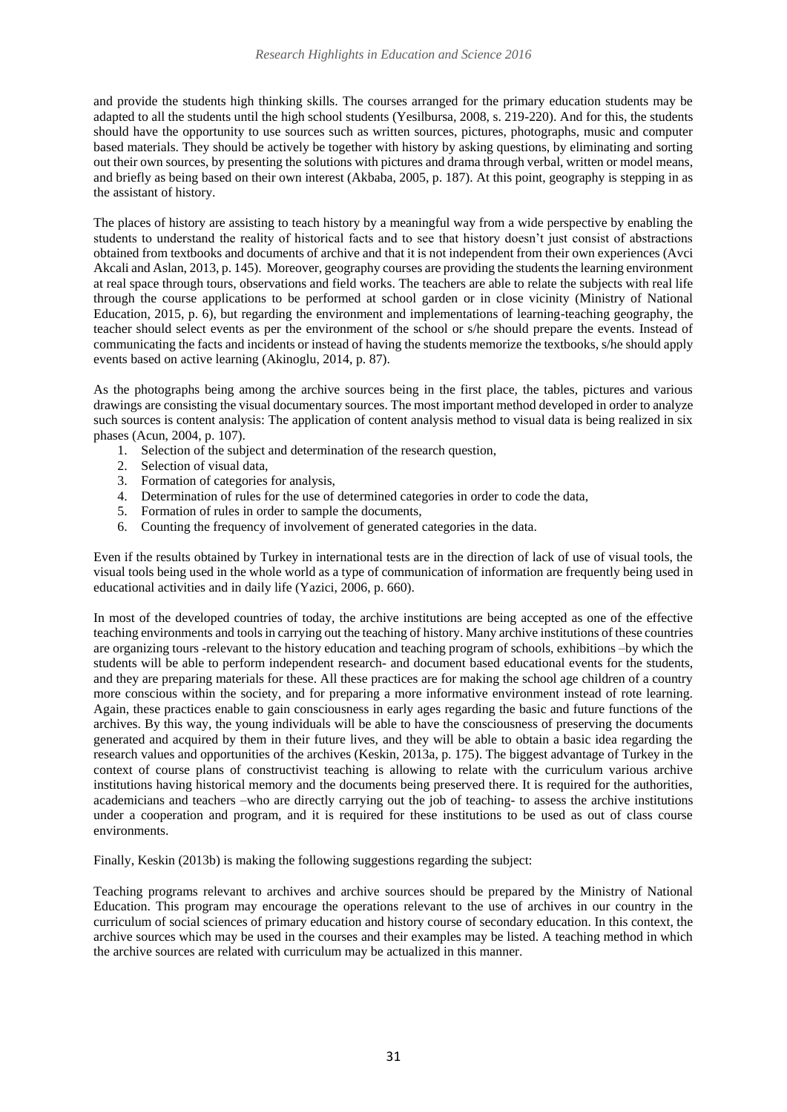and provide the students high thinking skills. The courses arranged for the primary education students may be adapted to all the students until the high school students (Yesilbursa, 2008, s. 219-220). And for this, the students should have the opportunity to use sources such as written sources, pictures, photographs, music and computer based materials. They should be actively be together with history by asking questions, by eliminating and sorting out their own sources, by presenting the solutions with pictures and drama through verbal, written or model means, and briefly as being based on their own interest (Akbaba, 2005, p. 187). At this point, geography is stepping in as the assistant of history.

The places of history are assisting to teach history by a meaningful way from a wide perspective by enabling the students to understand the reality of historical facts and to see that history doesn't just consist of abstractions obtained from textbooks and documents of archive and that it is not independent from their own experiences (Avci Akcali and Aslan, 2013, p. 145). Moreover, geography courses are providing the students the learning environment at real space through tours, observations and field works. The teachers are able to relate the subjects with real life through the course applications to be performed at school garden or in close vicinity (Ministry of National Education, 2015, p. 6), but regarding the environment and implementations of learning-teaching geography, the teacher should select events as per the environment of the school or s/he should prepare the events. Instead of communicating the facts and incidents or instead of having the students memorize the textbooks, s/he should apply events based on active learning (Akinoglu, 2014, p. 87).

As the photographs being among the archive sources being in the first place, the tables, pictures and various drawings are consisting the visual documentary sources. The most important method developed in order to analyze such sources is content analysis: The application of content analysis method to visual data is being realized in six phases (Acun, 2004, p. 107).

- 1. Selection of the subject and determination of the research question,
- 2. Selection of visual data,
- 3. Formation of categories for analysis,
- 4. Determination of rules for the use of determined categories in order to code the data,
- 5. Formation of rules in order to sample the documents,
- 6. Counting the frequency of involvement of generated categories in the data.

Even if the results obtained by Turkey in international tests are in the direction of lack of use of visual tools, the visual tools being used in the whole world as a type of communication of information are frequently being used in educational activities and in daily life (Yazici, 2006, p. 660).

In most of the developed countries of today, the archive institutions are being accepted as one of the effective teaching environments and tools in carrying out the teaching of history. Many archive institutions of these countries are organizing tours -relevant to the history education and teaching program of schools, exhibitions –by which the students will be able to perform independent research- and document based educational events for the students, and they are preparing materials for these. All these practices are for making the school age children of a country more conscious within the society, and for preparing a more informative environment instead of rote learning. Again, these practices enable to gain consciousness in early ages regarding the basic and future functions of the archives. By this way, the young individuals will be able to have the consciousness of preserving the documents generated and acquired by them in their future lives, and they will be able to obtain a basic idea regarding the research values and opportunities of the archives (Keskin, 2013a, p. 175). The biggest advantage of Turkey in the context of course plans of constructivist teaching is allowing to relate with the curriculum various archive institutions having historical memory and the documents being preserved there. It is required for the authorities, academicians and teachers –who are directly carrying out the job of teaching- to assess the archive institutions under a cooperation and program, and it is required for these institutions to be used as out of class course environments.

Finally, Keskin (2013b) is making the following suggestions regarding the subject:

Teaching programs relevant to archives and archive sources should be prepared by the Ministry of National Education. This program may encourage the operations relevant to the use of archives in our country in the curriculum of social sciences of primary education and history course of secondary education. In this context, the archive sources which may be used in the courses and their examples may be listed. A teaching method in which the archive sources are related with curriculum may be actualized in this manner.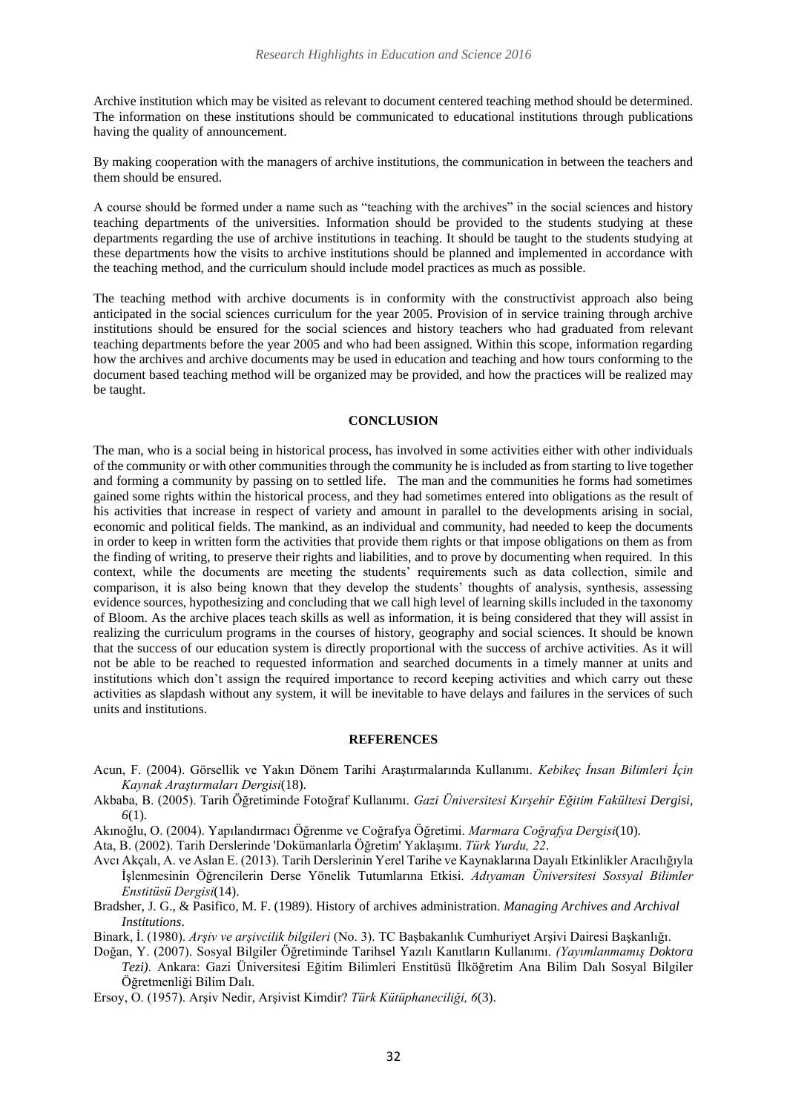Archive institution which may be visited as relevant to document centered teaching method should be determined. The information on these institutions should be communicated to educational institutions through publications having the quality of announcement.

By making cooperation with the managers of archive institutions, the communication in between the teachers and them should be ensured.

A course should be formed under a name such as "teaching with the archives" in the social sciences and history teaching departments of the universities. Information should be provided to the students studying at these departments regarding the use of archive institutions in teaching. It should be taught to the students studying at these departments how the visits to archive institutions should be planned and implemented in accordance with the teaching method, and the curriculum should include model practices as much as possible.

The teaching method with archive documents is in conformity with the constructivist approach also being anticipated in the social sciences curriculum for the year 2005. Provision of in service training through archive institutions should be ensured for the social sciences and history teachers who had graduated from relevant teaching departments before the year 2005 and who had been assigned. Within this scope, information regarding how the archives and archive documents may be used in education and teaching and how tours conforming to the document based teaching method will be organized may be provided, and how the practices will be realized may be taught.

## **CONCLUSION**

The man, who is a social being in historical process, has involved in some activities either with other individuals of the community or with other communities through the community he is included as from starting to live together and forming a community by passing on to settled life. The man and the communities he forms had sometimes gained some rights within the historical process, and they had sometimes entered into obligations as the result of his activities that increase in respect of variety and amount in parallel to the developments arising in social, economic and political fields. The mankind, as an individual and community, had needed to keep the documents in order to keep in written form the activities that provide them rights or that impose obligations on them as from the finding of writing, to preserve their rights and liabilities, and to prove by documenting when required. In this context, while the documents are meeting the students' requirements such as data collection, simile and comparison, it is also being known that they develop the students' thoughts of analysis, synthesis, assessing evidence sources, hypothesizing and concluding that we call high level of learning skills included in the taxonomy of Bloom. As the archive places teach skills as well as information, it is being considered that they will assist in realizing the curriculum programs in the courses of history, geography and social sciences. It should be known that the success of our education system is directly proportional with the success of archive activities. As it will not be able to be reached to requested information and searched documents in a timely manner at units and institutions which don't assign the required importance to record keeping activities and which carry out these activities as slapdash without any system, it will be inevitable to have delays and failures in the services of such units and institutions.

## **REFERENCES**

- Acun, F. (2004). Görsellik ve Yakın Dönem Tarihi Araştırmalarında Kullanımı. *Kebikeç İnsan Bilimleri İçin Kaynak Araştırmaları Dergisi*(18).
- Akbaba, B. (2005). Tarih Öğretiminde Fotoğraf Kullanımı. *Gazi Üniversitesi Kırşehir Eğitim Fakültesi Dergisi, 6*(1).
- Akınoğlu, O. (2004). Yapılandırmacı Öğrenme ve Coğrafya Öğretimi. *Marmara Coğrafya Dergisi*(10).

Ata, B. (2002). Tarih Derslerinde 'Dokümanlarla Öğretim' Yaklaşımı. *Türk Yurdu, 22*.

- Avcı Akçalı, A. ve Aslan E. (2013). Tarih Derslerinin Yerel Tarihe ve Kaynaklarına Dayalı Etkinlikler Aracılığıyla İşlenmesinin Öğrencilerin Derse Yönelik Tutumlarına Etkisi. *Adıyaman Üniversitesi Sossyal Bilimler Enstitüsü Dergisi*(14).
- Bradsher, J. G., & Pasifico, M. F. (1989). History of archives administration. *Managing Archives and Archival Institutions*.

Binark, İ. (1980). *Arşiv ve arşivcilik bilgileri* (No. 3). TC Başbakanlık Cumhuriyet Arşivi Dairesi Başkanlığı.

- Doğan, Y. (2007). Sosyal Bilgiler Öğretiminde Tarihsel Yazılı Kanıtların Kullanımı. *(Yayımlanmamış Doktora Tezi)*. Ankara: Gazi Üniversitesi Eğitim Bilimleri Enstitüsü İlköğretim Ana Bilim Dalı Sosyal Bilgiler Öğretmenliği Bilim Dalı.
- Ersoy, O. (1957). Arşiv Nedir, Arşivist Kimdir? *Türk Kütüphaneciliği, 6*(3).